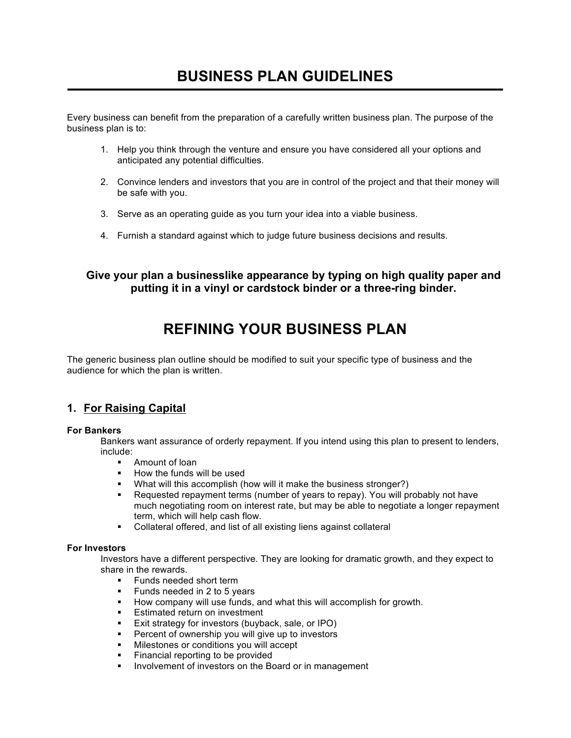# **BUSINESS PLAN GUIDELINES**

©

 $\overline{C}$ o p y r i g h t

> E n v i s i o n

> $\mathsf{C}$ o r p o r a t i o n .

> A l l

r i g h t s

> r e s e r v

Every business can benefit from the preparation of a carefully written business plan. The purpose of the business plan is to:

- 1. Help you think through the venture and ensure you have considered all your options and anticipated any potential difficulties.
- 2. Convince lenders and investors that you are in control of the project and that their money will be safe with you.
- 3. Serve as an operating guide as you turn your idea into a viable business.
- 4. Furnish a standard against which to judge future business decisions and results.

## **Give your plan a businesslike appearance by typing on high quality paper and putting it in a vinyl or cardstock binder or a three-ring binder.**

## **REFINING YOUR BUSINESS PLAN**

The generic business plan outline should be modified to suit your specific type of business and the audience for which the plan is written. ie<br>.<br>.<br>.<br>.

## **1. For Raising Capital**

## **For Bankers**

Bankers want assurance of orderly repayment. If you intend using this plan to present to lenders, include:

- § Amount of loan
- § How the funds will be used
- What will this accomplish (how will it make the business stronger?)
- Requested repayment terms (number of years to repay). You will probably not have much negotiating room on interest rate, but may be able to negotiate a longer repayment term, which will help cash flow.
- § Collateral offered, and list of all existing liens against collateral

## **For Investors**

Investors have a different perspective. They are looking for dramatic growth, and they expect to share in the rewards.

- Funds needed short term
- § Funds needed in 2 to 5 years
- How company will use funds, and what this will accomplish for growth.
- Estimated return on investment
- Exit strategy for investors (buyback, sale, or IPO)
- Percent of ownership you will give up to investors
- § Milestones or conditions you will accept
- § Financial reporting to be provided
- **■** Involvement of investors on the Board or in management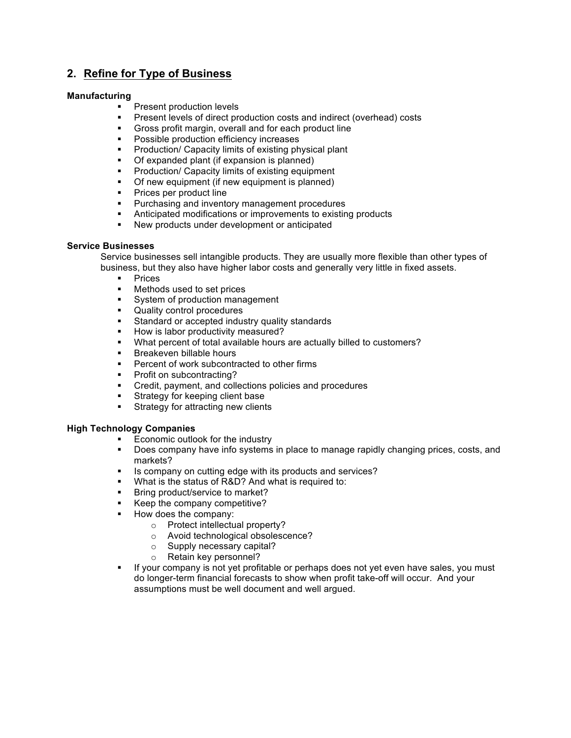## **2. Refine for Type of Business**

### **Manufacturing**

- Present production levels
- Present levels of direct production costs and indirect (overhead) costs
- § Gross profit margin, overall and for each product line
- **•** Possible production efficiency increases
- Production/ Capacity limits of existing physical plant
- § Of expanded plant (if expansion is planned)
- Production/ Capacity limits of existing equipment
- Of new equipment (if new equipment is planned)
- **•** Prices per product line
- Purchasing and inventory management procedures
- **Anticipated modifications or improvements to existing products**
- New products under development or anticipated

### **Service Businesses**

Service businesses sell intangible products. They are usually more flexible than other types of business, but they also have higher labor costs and generally very little in fixed assets.

- Prices<br>■ Methor
- § Methods used to set prices
- System of production management
- § Quality control procedures
- Standard or accepted industry quality standards
- How is labor productivity measured?
- § What percent of total available hours are actually billed to customers?
- Breakeven billable hours
- Percent of work subcontracted to other firms
- Profit on subcontracting?
- § Credit, payment, and collections policies and procedures
- Strategy for keeping client base
- Strategy for attracting new clients

#### **High Technology Companies**

- Economic outlook for the industry
- § Does company have info systems in place to manage rapidly changing prices, costs, and markets?
- Is company on cutting edge with its products and services?
- What is the status of R&D? And what is required to:
- **■** Bring product/service to market?
- Keep the company competitive?
- How does the company:
	- o Protect intellectual property?
	- o Avoid technological obsolescence?
	- o Supply necessary capital?
	- o Retain key personnel?
- § If your company is not yet profitable or perhaps does not yet even have sales, you must do longer-term financial forecasts to show when profit take-off will occur. And your assumptions must be well document and well argued.